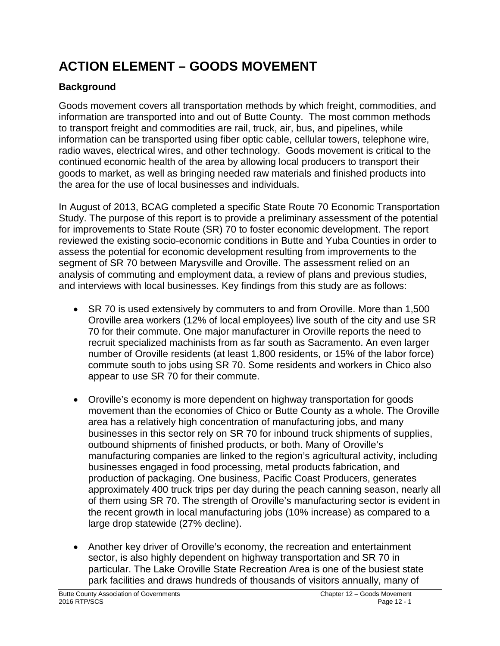# **ACTION ELEMENT – GOODS MOVEMENT**

# **Background**

Goods movement covers all transportation methods by which freight, commodities, and information are transported into and out of Butte County. The most common methods to transport freight and commodities are rail, truck, air, bus, and pipelines, while information can be transported using fiber optic cable, cellular towers, telephone wire, radio waves, electrical wires, and other technology. Goods movement is critical to the continued economic health of the area by allowing local producers to transport their goods to market, as well as bringing needed raw materials and finished products into the area for the use of local businesses and individuals.

In August of 2013, BCAG completed a specific State Route 70 Economic Transportation Study. The purpose of this report is to provide a preliminary assessment of the potential for improvements to State Route (SR) 70 to foster economic development. The report reviewed the existing socio-economic conditions in Butte and Yuba Counties in order to assess the potential for economic development resulting from improvements to the segment of SR 70 between Marysville and Oroville. The assessment relied on an analysis of commuting and employment data, a review of plans and previous studies, and interviews with local businesses. Key findings from this study are as follows:

- SR 70 is used extensively by commuters to and from Oroville. More than 1,500 Oroville area workers (12% of local employees) live south of the city and use SR 70 for their commute. One major manufacturer in Oroville reports the need to recruit specialized machinists from as far south as Sacramento. An even larger number of Oroville residents (at least 1,800 residents, or 15% of the labor force) commute south to jobs using SR 70. Some residents and workers in Chico also appear to use SR 70 for their commute.
- Oroville's economy is more dependent on highway transportation for goods movement than the economies of Chico or Butte County as a whole. The Oroville area has a relatively high concentration of manufacturing jobs, and many businesses in this sector rely on SR 70 for inbound truck shipments of supplies, outbound shipments of finished products, or both. Many of Oroville's manufacturing companies are linked to the region's agricultural activity, including businesses engaged in food processing, metal products fabrication, and production of packaging. One business, Pacific Coast Producers, generates approximately 400 truck trips per day during the peach canning season, nearly all of them using SR 70. The strength of Oroville's manufacturing sector is evident in the recent growth in local manufacturing jobs (10% increase) as compared to a large drop statewide (27% decline).
- Another key driver of Oroville's economy, the recreation and entertainment sector, is also highly dependent on highway transportation and SR 70 in particular. The Lake Oroville State Recreation Area is one of the busiest state park facilities and draws hundreds of thousands of visitors annually, many of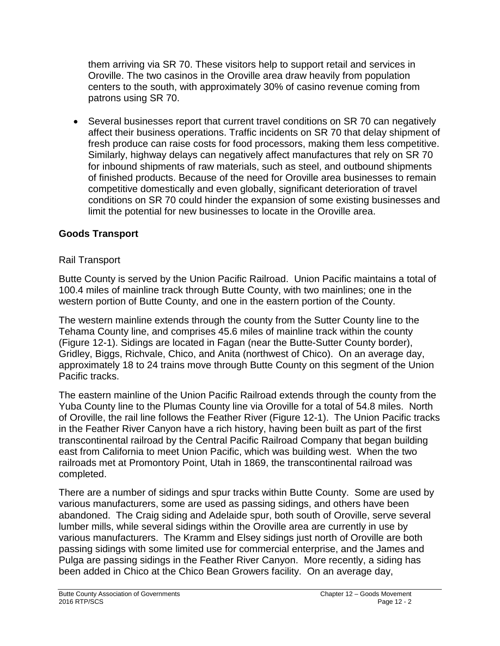them arriving via SR 70. These visitors help to support retail and services in Oroville. The two casinos in the Oroville area draw heavily from population centers to the south, with approximately 30% of casino revenue coming from patrons using SR 70.

• Several businesses report that current travel conditions on SR 70 can negatively affect their business operations. Traffic incidents on SR 70 that delay shipment of fresh produce can raise costs for food processors, making them less competitive. Similarly, highway delays can negatively affect manufactures that rely on SR 70 for inbound shipments of raw materials, such as steel, and outbound shipments of finished products. Because of the need for Oroville area businesses to remain competitive domestically and even globally, significant deterioration of travel conditions on SR 70 could hinder the expansion of some existing businesses and limit the potential for new businesses to locate in the Oroville area.

## **Goods Transport**

## Rail Transport

Butte County is served by the Union Pacific Railroad. Union Pacific maintains a total of 100.4 miles of mainline track through Butte County, with two mainlines; one in the western portion of Butte County, and one in the eastern portion of the County.

The western mainline extends through the county from the Sutter County line to the Tehama County line, and comprises 45.6 miles of mainline track within the county (Figure 12-1). Sidings are located in Fagan (near the Butte-Sutter County border), Gridley, Biggs, Richvale, Chico, and Anita (northwest of Chico). On an average day, approximately 18 to 24 trains move through Butte County on this segment of the Union Pacific tracks.

The eastern mainline of the Union Pacific Railroad extends through the county from the Yuba County line to the Plumas County line via Oroville for a total of 54.8 miles. North of Oroville, the rail line follows the Feather River (Figure 12-1). The Union Pacific tracks in the Feather River Canyon have a rich history, having been built as part of the first transcontinental railroad by the Central Pacific Railroad Company that began building east from California to meet Union Pacific, which was building west. When the two railroads met at Promontory Point, Utah in 1869, the transcontinental railroad was completed.

There are a number of sidings and spur tracks within Butte County. Some are used by various manufacturers, some are used as passing sidings, and others have been abandoned. The Craig siding and Adelaide spur, both south of Oroville, serve several lumber mills, while several sidings within the Oroville area are currently in use by various manufacturers. The Kramm and Elsey sidings just north of Oroville are both passing sidings with some limited use for commercial enterprise, and the James and Pulga are passing sidings in the Feather River Canyon. More recently, a siding has been added in Chico at the Chico Bean Growers facility. On an average day,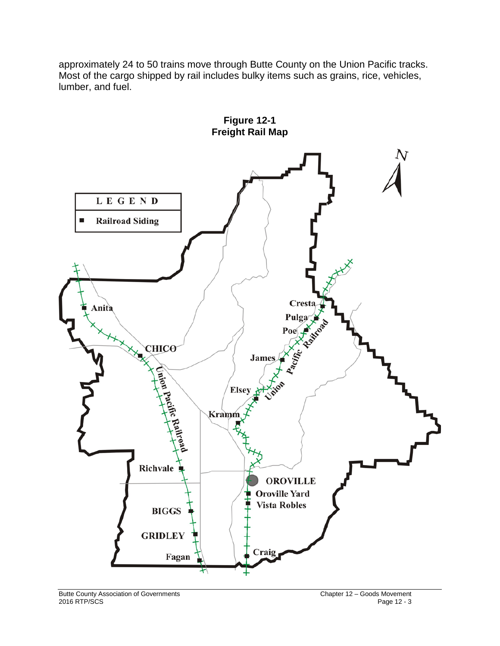approximately 24 to 50 trains move through Butte County on the Union Pacific tracks. Most of the cargo shipped by rail includes bulky items such as grains, rice, vehicles, lumber, and fuel.

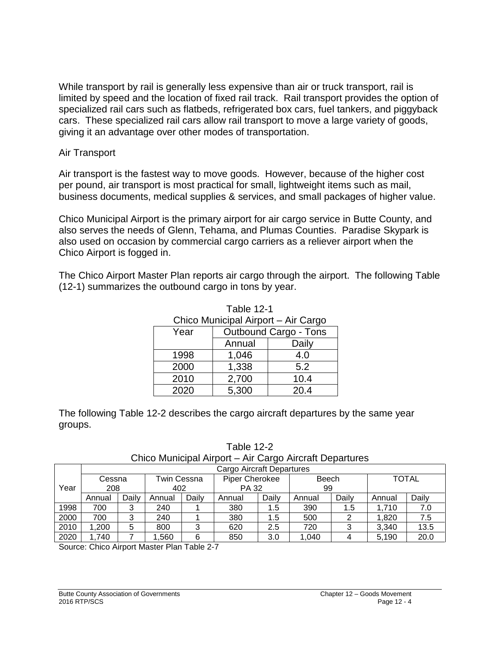While transport by rail is generally less expensive than air or truck transport, rail is limited by speed and the location of fixed rail track. Rail transport provides the option of specialized rail cars such as flatbeds, refrigerated box cars, fuel tankers, and piggyback cars. These specialized rail cars allow rail transport to move a large variety of goods, giving it an advantage over other modes of transportation.

#### Air Transport

Air transport is the fastest way to move goods. However, because of the higher cost per pound, air transport is most practical for small, lightweight items such as mail, business documents, medical supplies & services, and small packages of higher value.

Chico Municipal Airport is the primary airport for air cargo service in Butte County, and also serves the needs of Glenn, Tehama, and Plumas Counties. Paradise Skypark is also used on occasion by commercial cargo carriers as a reliever airport when the Chico Airport is fogged in.

The Chico Airport Master Plan reports air cargo through the airport. The following Table (12-1) summarizes the outbound cargo in tons by year.

Table 12-1

| Chico Municipal Airport - Air Cargo |                              |       |  |  |  |  |
|-------------------------------------|------------------------------|-------|--|--|--|--|
| Year                                | <b>Outbound Cargo - Tons</b> |       |  |  |  |  |
|                                     | Annual                       | Daily |  |  |  |  |
| 1998                                | 1,046                        | 4.0   |  |  |  |  |
| 2000                                | 1,338                        | 5.2   |  |  |  |  |
| 2010                                | 2,700                        | 10.4  |  |  |  |  |
| 2020                                | 5,300                        | 20.4  |  |  |  |  |

|         |  |  | The following Table 12-2 describes the cargo aircraft departures by the same year |  |
|---------|--|--|-----------------------------------------------------------------------------------|--|
| groups. |  |  |                                                                                   |  |

Table 12-2

Chico Municipal Airport – Air Cargo Aircraft Departures

|      | Cargo Aircraft Departures |       |             |       |                |       |        |       |              |       |
|------|---------------------------|-------|-------------|-------|----------------|-------|--------|-------|--------------|-------|
|      | Cessna                    |       | Twin Cessna |       | Piper Cherokee |       | Beech  |       | <b>TOTAL</b> |       |
| Year | 208                       |       | 402         |       | <b>PA 32</b>   |       | 99     |       |              |       |
|      | Annual                    | Daily | Annual      | Daily | Annual         | Daily | Annual | Daily | Annual       | Daily |
| 1998 | 700                       | 3     | 240         |       | 380            | 1.5   | 390    | 1.5   | 1.710        | 7.0   |
| 2000 | 700                       | 2     | 240         |       | 380            | 1.5   | 500    | ⌒     | 1,820        | 7.5   |
| 2010 | 1.200                     | 5     | 800         | 3     | 620            | 2.5   | 720    | 3     | 3,340        | 13.5  |
| 2020 | .740                      |       | ,560        | 6     | 850            | 3.0   | 1.040  |       | 5.190        | 20.0  |

Source: Chico Airport Master Plan Table 2-7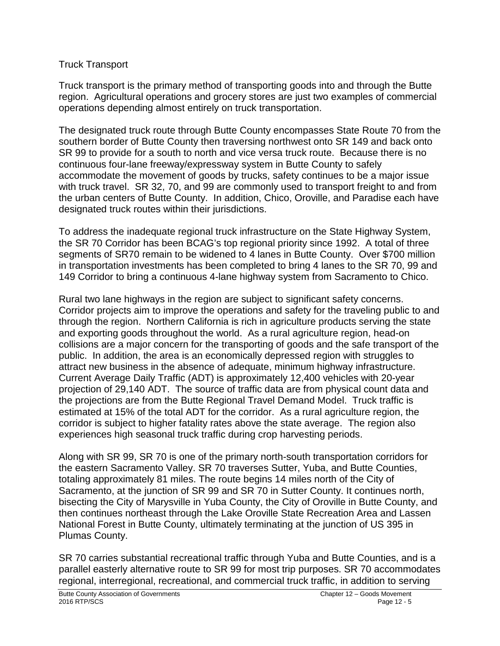#### Truck Transport

Truck transport is the primary method of transporting goods into and through the Butte region. Agricultural operations and grocery stores are just two examples of commercial operations depending almost entirely on truck transportation.

The designated truck route through Butte County encompasses State Route 70 from the southern border of Butte County then traversing northwest onto SR 149 and back onto SR 99 to provide for a south to north and vice versa truck route. Because there is no continuous four-lane freeway/expressway system in Butte County to safely accommodate the movement of goods by trucks, safety continues to be a major issue with truck travel. SR 32, 70, and 99 are commonly used to transport freight to and from the urban centers of Butte County. In addition, Chico, Oroville, and Paradise each have designated truck routes within their jurisdictions.

To address the inadequate regional truck infrastructure on the State Highway System, the SR 70 Corridor has been BCAG's top regional priority since 1992. A total of three segments of SR70 remain to be widened to 4 lanes in Butte County. Over \$700 million in transportation investments has been completed to bring 4 lanes to the SR 70, 99 and 149 Corridor to bring a continuous 4-lane highway system from Sacramento to Chico.

Rural two lane highways in the region are subject to significant safety concerns. Corridor projects aim to improve the operations and safety for the traveling public to and through the region. Northern California is rich in agriculture products serving the state and exporting goods throughout the world. As a rural agriculture region, head-on collisions are a major concern for the transporting of goods and the safe transport of the public. In addition, the area is an economically depressed region with struggles to attract new business in the absence of adequate, minimum highway infrastructure. Current Average Daily Traffic (ADT) is approximately 12,400 vehicles with 20-year projection of 29,140 ADT. The source of traffic data are from physical count data and the projections are from the Butte Regional Travel Demand Model. Truck traffic is estimated at 15% of the total ADT for the corridor. As a rural agriculture region, the corridor is subject to higher fatality rates above the state average. The region also experiences high seasonal truck traffic during crop harvesting periods.

Along with SR 99, SR 70 is one of the primary north-south transportation corridors for the eastern Sacramento Valley. SR 70 traverses Sutter, Yuba, and Butte Counties, totaling approximately 81 miles. The route begins 14 miles north of the City of Sacramento, at the junction of SR 99 and SR 70 in Sutter County. It continues north, bisecting the City of Marysville in Yuba County, the City of Oroville in Butte County, and then continues northeast through the Lake Oroville State Recreation Area and Lassen National Forest in Butte County, ultimately terminating at the junction of US 395 in Plumas County.

SR 70 carries substantial recreational traffic through Yuba and Butte Counties, and is a parallel easterly alternative route to SR 99 for most trip purposes. SR 70 accommodates regional, interregional, recreational, and commercial truck traffic, in addition to serving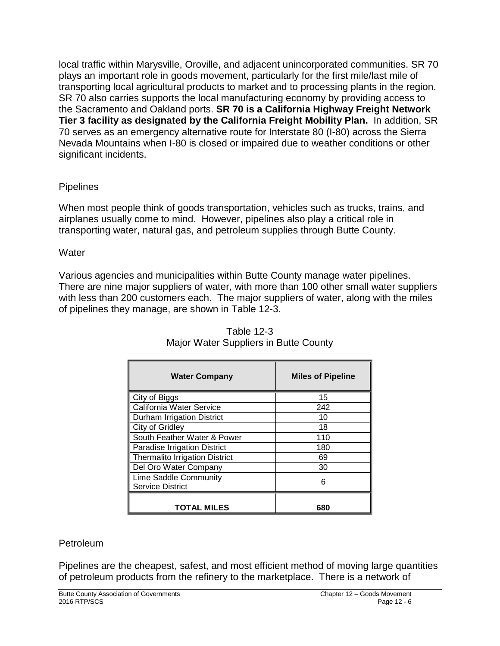local traffic within Marysville, Oroville, and adjacent unincorporated communities. SR 70 plays an important role in goods movement, particularly for the first mile/last mile of transporting local agricultural products to market and to processing plants in the region. SR 70 also carries supports the local manufacturing economy by providing access to the Sacramento and Oakland ports. **SR 70 is a California Highway Freight Network Tier 3 facility as designated by the California Freight Mobility Plan.** In addition, SR 70 serves as an emergency alternative route for Interstate 80 (I-80) across the Sierra Nevada Mountains when I-80 is closed or impaired due to weather conditions or other significant incidents.

## Pipelines

When most people think of goods transportation, vehicles such as trucks, trains, and airplanes usually come to mind. However, pipelines also play a critical role in transporting water, natural gas, and petroleum supplies through Butte County.

## **Water**

Various agencies and municipalities within Butte County manage water pipelines. There are nine major suppliers of water, with more than 100 other small water suppliers with less than 200 customers each. The major suppliers of water, along with the miles of pipelines they manage, are shown in Table 12-3.

| <b>Water Company</b>                             | <b>Miles of Pipeline</b> |  |  |  |
|--------------------------------------------------|--------------------------|--|--|--|
| City of Biggs                                    | 15                       |  |  |  |
| California Water Service                         | 242                      |  |  |  |
| Durham Irrigation District                       | 10                       |  |  |  |
| City of Gridley                                  | 18                       |  |  |  |
| South Feather Water & Power                      | 110                      |  |  |  |
| <b>Paradise Irrigation District</b>              | 180                      |  |  |  |
| <b>Thermalito Irrigation District</b>            | 69                       |  |  |  |
| Del Oro Water Company                            | 30                       |  |  |  |
| Lime Saddle Community<br><b>Service District</b> | 6                        |  |  |  |
| <b>TOTAL MILES</b>                               | 680                      |  |  |  |

Table 12-3 Major Water Suppliers in Butte County

## Petroleum

Pipelines are the cheapest, safest, and most efficient method of moving large quantities of petroleum products from the refinery to the marketplace. There is a network of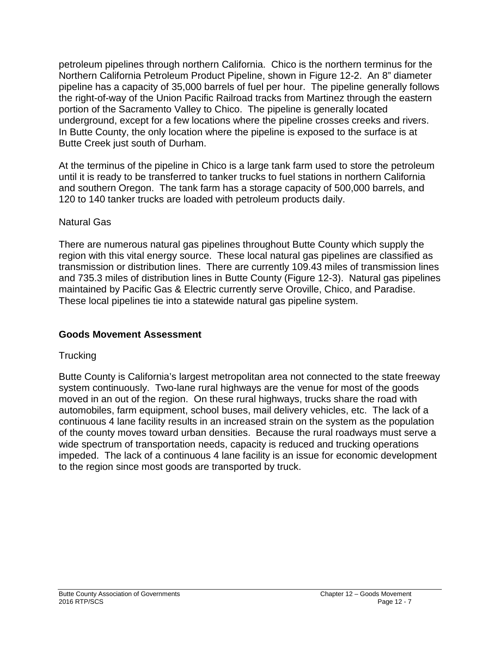petroleum pipelines through northern California. Chico is the northern terminus for the Northern California Petroleum Product Pipeline, shown in Figure 12-2. An 8" diameter pipeline has a capacity of 35,000 barrels of fuel per hour. The pipeline generally follows the right-of-way of the Union Pacific Railroad tracks from Martinez through the eastern portion of the Sacramento Valley to Chico. The pipeline is generally located underground, except for a few locations where the pipeline crosses creeks and rivers. In Butte County, the only location where the pipeline is exposed to the surface is at Butte Creek just south of Durham.

At the terminus of the pipeline in Chico is a large tank farm used to store the petroleum until it is ready to be transferred to tanker trucks to fuel stations in northern California and southern Oregon. The tank farm has a storage capacity of 500,000 barrels, and 120 to 140 tanker trucks are loaded with petroleum products daily.

#### Natural Gas

There are numerous natural gas pipelines throughout Butte County which supply the region with this vital energy source. These local natural gas pipelines are classified as transmission or distribution lines. There are currently 109.43 miles of transmission lines and 735.3 miles of distribution lines in Butte County (Figure 12-3). Natural gas pipelines maintained by Pacific Gas & Electric currently serve Oroville, Chico, and Paradise. These local pipelines tie into a statewide natural gas pipeline system.

## **Goods Movement Assessment**

## **Trucking**

Butte County is California's largest metropolitan area not connected to the state freeway system continuously. Two-lane rural highways are the venue for most of the goods moved in an out of the region. On these rural highways, trucks share the road with automobiles, farm equipment, school buses, mail delivery vehicles, etc. The lack of a continuous 4 lane facility results in an increased strain on the system as the population of the county moves toward urban densities. Because the rural roadways must serve a wide spectrum of transportation needs, capacity is reduced and trucking operations impeded. The lack of a continuous 4 lane facility is an issue for economic development to the region since most goods are transported by truck.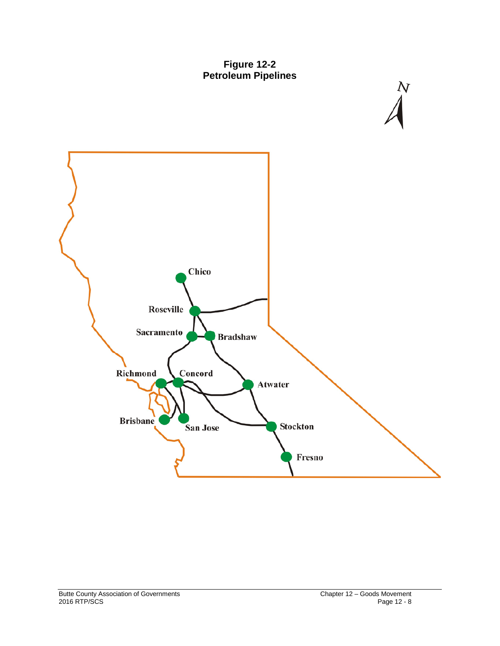



 $\frac{N}{4}$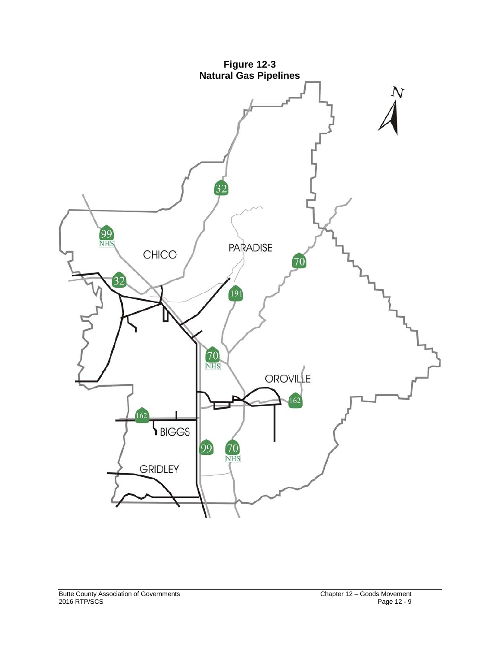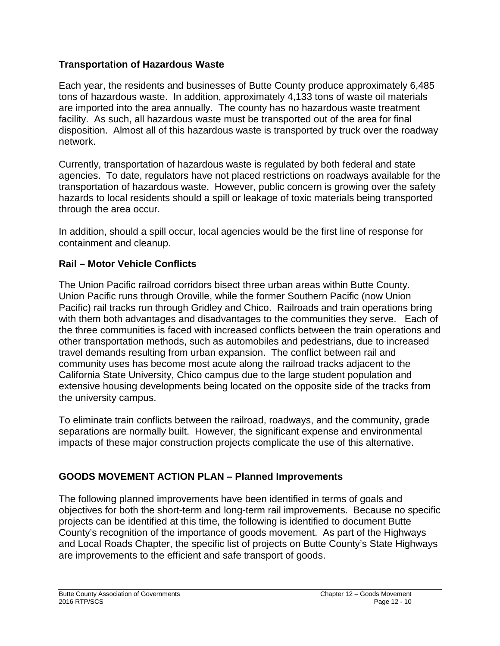## **Transportation of Hazardous Waste**

Each year, the residents and businesses of Butte County produce approximately 6,485 tons of hazardous waste. In addition, approximately 4,133 tons of waste oil materials are imported into the area annually. The county has no hazardous waste treatment facility. As such, all hazardous waste must be transported out of the area for final disposition. Almost all of this hazardous waste is transported by truck over the roadway network.

Currently, transportation of hazardous waste is regulated by both federal and state agencies. To date, regulators have not placed restrictions on roadways available for the transportation of hazardous waste. However, public concern is growing over the safety hazards to local residents should a spill or leakage of toxic materials being transported through the area occur.

In addition, should a spill occur, local agencies would be the first line of response for containment and cleanup.

## **Rail – Motor Vehicle Conflicts**

The Union Pacific railroad corridors bisect three urban areas within Butte County. Union Pacific runs through Oroville, while the former Southern Pacific (now Union Pacific) rail tracks run through Gridley and Chico. Railroads and train operations bring with them both advantages and disadvantages to the communities they serve. Each of the three communities is faced with increased conflicts between the train operations and other transportation methods, such as automobiles and pedestrians, due to increased travel demands resulting from urban expansion. The conflict between rail and community uses has become most acute along the railroad tracks adjacent to the California State University, Chico campus due to the large student population and extensive housing developments being located on the opposite side of the tracks from the university campus.

To eliminate train conflicts between the railroad, roadways, and the community, grade separations are normally built. However, the significant expense and environmental impacts of these major construction projects complicate the use of this alternative.

## **GOODS MOVEMENT ACTION PLAN – Planned Improvements**

The following planned improvements have been identified in terms of goals and objectives for both the short-term and long-term rail improvements. Because no specific projects can be identified at this time, the following is identified to document Butte County's recognition of the importance of goods movement. As part of the Highways and Local Roads Chapter, the specific list of projects on Butte County's State Highways are improvements to the efficient and safe transport of goods.